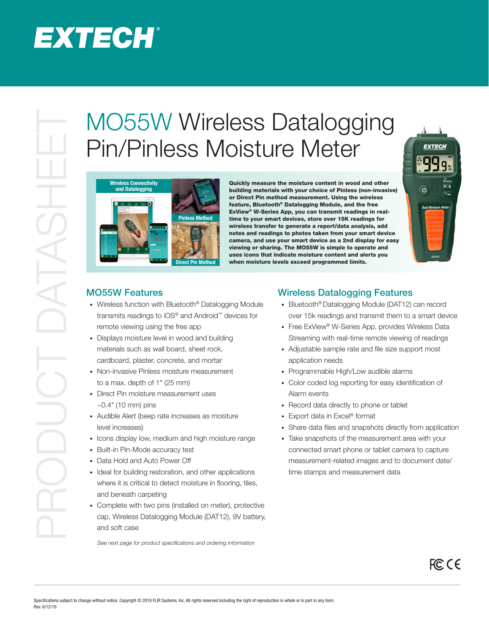## EXTECH®

## MO55W when the Same of the Control of the Control of the Control of the Control of the Control of the Control of the Control of the Control of the Control of the Control of the Control of the Control of the Control of the Pin/Pinless Moisture Meter



Quickly measure the moisture content in wood and other building materials with your choice of Pinless (non-invasive) or Direct Pin method measurement. Using the wireless feature, Bluetooth® Datalogging Module, and the free ExView® W-Series App, you can transmit readings in realtime to your smart devices, store over 15K readings for wireless transfer to generate a report/data analysis, add notes and readings to photos taken from your smart device camera, and use your smart device as a 2nd display for easy viewing or sharing. The MO55W is simple to operate and uses icons that indicate moisture content and alerts you when moisture levels exceed programmed limits.



FCC CE

## MO55W Features

- Wireless function with Bluetooth<sup>®</sup> Datalogging Module transmits readings to iOS® and Android™ devices for remote viewing using the free app
- Displays moisture level in wood and building materials such as wall board, sheet rock, cardboard, plaster, concrete, and mortar
- Non-invasive Pinless moisture measurement to a max. depth of 1" (25 mm)
- Direct Pin moisture measurement uses  $-0.4"$  (10 mm) pins
- Audible Alert (beep rate increases as moisture level increases)
- Icons display low, medium and high moisture range
- Built-in Pin-Mode accuracy test
- Data Hold and Auto Power Off
- Ideal for building restoration, and other applications where it is critical to detect moisture in flooring, tiles, and beneath carpeting
- Complete with two pins (installed on meter), protective cap, Wireless Datalogging Module (DAT12), 9V battery, and soft case

*See next page for product specifications and ordering information*

## Wireless Datalogging Features

- Bluetooth® Datalogging Module (DAT12) can record over 15k readings and transmit them to a smart device
- Free ExView<sup>®</sup> W-Series App, provides Wireless Data Streaming with real-time remote viewing of readings
- Adjustable sample rate and file size support most application needs
- Programmable High/Low audible alarms
- Color coded log reporting for easy identification of Alarm events
- Record data directly to phone or tablet
- Export data in Excel® format
- Share data files and snapshots directly from application
- Take snapshots of the measurement area with your connected smart phone or tablet camera to capture measurement-related images and to document date/ time stamps and measurement data